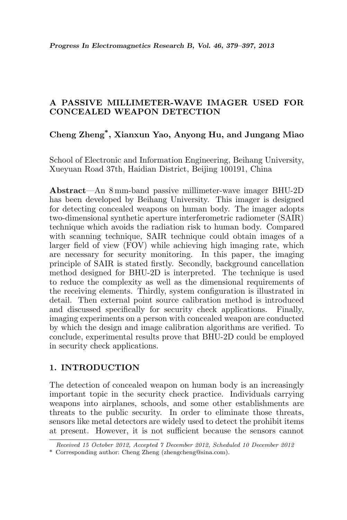## A PASSIVE MILLIMETER-WAVE IMAGER USED FOR CONCEALED WEAPON DETECTION

# Cheng Zheng\* , Xianxun Yao, Anyong Hu, and Jungang Miao

School of Electronic and Information Engineering, Beihang University, Xueyuan Road 37th, Haidian District, Beijing 100191, China

Abstract—An 8 mm-band passive millimeter-wave imager BHU-2D has been developed by Beihang University. This imager is designed for detecting concealed weapons on human body. The imager adopts two-dimensional synthetic aperture interferometric radiometer (SAIR) technique which avoids the radiation risk to human body. Compared with scanning technique, SAIR technique could obtain images of a larger field of view (FOV) while achieving high imaging rate, which are necessary for security monitoring. In this paper, the imaging principle of SAIR is stated firstly. Secondly, background cancellation method designed for BHU-2D is interpreted. The technique is used to reduce the complexity as well as the dimensional requirements of the receiving elements. Thirdly, system configuration is illustrated in detail. Then external point source calibration method is introduced and discussed specifically for security check applications. Finally, imaging experiments on a person with concealed weapon are conducted by which the design and image calibration algorithms are verified. To conclude, experimental results prove that BHU-2D could be employed in security check applications.

## 1. INTRODUCTION

The detection of concealed weapon on human body is an increasingly important topic in the security check practice. Individuals carrying weapons into airplanes, schools, and some other establishments are threats to the public security. In order to eliminate those threats, sensors like metal detectors are widely used to detect the prohibit items at present. However, it is not sufficient because the sensors cannot

Received 15 October 2012, Accepted 7 December 2012, Scheduled 10 December 2012

<sup>\*</sup> Corresponding author: Cheng Zheng (zhengcheng@sina.com).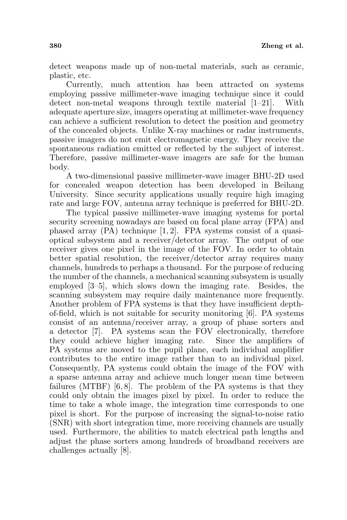detect weapons made up of non-metal materials, such as ceramic, plastic, etc.

Currently, much attention has been attracted on systems employing passive millimeter-wave imaging technique since it could detect non-metal weapons through textile material [1–21]. With adequate aperture size, imagers operating at millimeter-wave frequency can achieve a sufficient resolution to detect the position and geometry of the concealed objects. Unlike X-ray machines or radar instruments, passive imagers do not emit electromagnetic energy. They receive the spontaneous radiation emitted or reflected by the subject of interest. Therefore, passive millimeter-wave imagers are safe for the human body.

A two-dimensional passive millimeter-wave imager BHU-2D used for concealed weapon detection has been developed in Beihang University. Since security applications usually require high imaging rate and large FOV, antenna array technique is preferred for BHU-2D.

The typical passive millimeter-wave imaging systems for portal security screening nowadays are based on focal plane array (FPA) and phased array  $(PA)$  technique  $[1, 2]$ . FPA systems consist of a quasioptical subsystem and a receiver/detector array. The output of one receiver gives one pixel in the image of the FOV. In order to obtain better spatial resolution, the receiver/detector array requires many channels, hundreds to perhaps a thousand. For the purpose of reducing the number of the channels, a mechanical scanning subsystem is usually employed [3–5], which slows down the imaging rate. Besides, the scanning subsystem may require daily maintenance more frequently. Another problem of FPA systems is that they have insufficient depthof-field, which is not suitable for security monitoring [6]. PA systems consist of an antenna/receiver array, a group of phase sorters and a detector [7]. PA systems scan the FOV electronically, therefore they could achieve higher imaging rate. Since the amplifiers of PA systems are moved to the pupil plane, each individual amplifier contributes to the entire image rather than to an individual pixel. Consequently, PA systems could obtain the image of the FOV with a sparse antenna array and achieve much longer mean time between failures (MTBF) [6, 8]. The problem of the PA systems is that they could only obtain the images pixel by pixel. In order to reduce the time to take a whole image, the integration time corresponds to one pixel is short. For the purpose of increasing the signal-to-noise ratio (SNR) with short integration time, more receiving channels are usually used. Furthermore, the abilities to match electrical path lengths and adjust the phase sorters among hundreds of broadband receivers are challenges actually [8].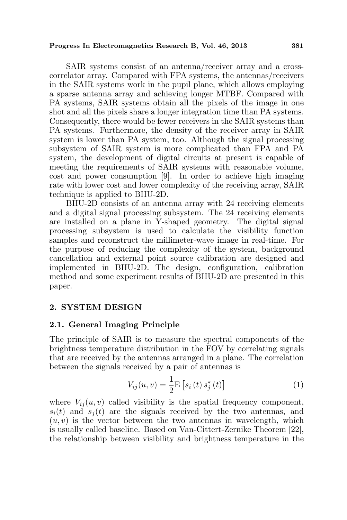#### Progress In Electromagnetics Research B, Vol. 46, 2013 381

SAIR systems consist of an antenna/receiver array and a crosscorrelator array. Compared with FPA systems, the antennas/receivers in the SAIR systems work in the pupil plane, which allows employing a sparse antenna array and achieving longer MTBF. Compared with PA systems, SAIR systems obtain all the pixels of the image in one shot and all the pixels share a longer integration time than PA systems. Consequently, there would be fewer receivers in the SAIR systems than PA systems. Furthermore, the density of the receiver array in SAIR system is lower than PA system, too. Although the signal processing subsystem of SAIR system is more complicated than FPA and PA system, the development of digital circuits at present is capable of meeting the requirements of SAIR systems with reasonable volume, cost and power consumption [9]. In order to achieve high imaging rate with lower cost and lower complexity of the receiving array, SAIR technique is applied to BHU-2D.

BHU-2D consists of an antenna array with 24 receiving elements and a digital signal processing subsystem. The 24 receiving elements are installed on a plane in Y-shaped geometry. The digital signal processing subsystem is used to calculate the visibility function samples and reconstruct the millimeter-wave image in real-time. For the purpose of reducing the complexity of the system, background cancellation and external point source calibration are designed and implemented in BHU-2D. The design, configuration, calibration method and some experiment results of BHU-2D are presented in this paper.

## 2. SYSTEM DESIGN

### 2.1. General Imaging Principle

The principle of SAIR is to measure the spectral components of the brightness temperature distribution in the FOV by correlating signals that are received by the antennas arranged in a plane. The correlation between the signals received by a pair of antennas is

$$
V_{ij}(u, v) = \frac{1}{2} \mathbf{E} \left[ s_i(t) \, s_j^*(t) \right] \tag{1}
$$

where  $V_{ij}(u, v)$  called visibility is the spatial frequency component,  $s_i(t)$  and  $s_i(t)$  are the signals received by the two antennas, and  $(u, v)$  is the vector between the two antennas in wavelength, which is usually called baseline. Based on Van-Cittert-Zernike Theorem [22], the relationship between visibility and brightness temperature in the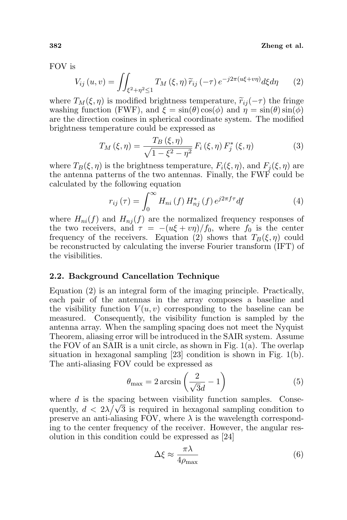#### 382 Zheng et al.

FOV is

$$
V_{ij}(u,v) = \iint_{\xi^2 + \eta^2 \le 1} T_M(\xi, \eta) \, \widetilde{r}_{ij} \, (-\tau) \, e^{-j2\pi(u\xi + v\eta)} d\xi d\eta \tag{2}
$$

where  $T_M(\xi, \eta)$  is modified brightness temperature,  $\tilde{r}_{ij}(-\tau)$  the fringe washing function (FWF), and  $\xi = \sin(\theta) \cos(\phi)$  and  $\eta = \sin(\theta) \sin(\phi)$ are the direction cosines in spherical coordinate system. The modified brightness temperature could be expressed as

$$
T_M(\xi, \eta) = \frac{T_B(\xi, \eta)}{\sqrt{1 - \xi^2 - \eta^2}} F_i(\xi, \eta) F_j^*(\xi, \eta)
$$
 (3)

where  $T_B(\xi, \eta)$  is the brightness temperature,  $F_i(\xi, \eta)$ , and  $F_j(\xi, \eta)$  are the antenna patterns of the two antennas. Finally, the FWF could be calculated by the following equation

$$
r_{ij}(\tau) = \int_0^\infty H_{ni}(f) H_{nj}^*(f) e^{j2\pi f \tau} df \tag{4}
$$

where  $H_{ni}(f)$  and  $H_{nj}(f)$  are the normalized frequency responses of the two receivers, and  $\tau = -(u\xi + v\eta)/f_0$ , where  $f_0$  is the center frequency of the receivers. Equation (2) shows that  $T_B(\xi, \eta)$  could be reconstructed by calculating the inverse Fourier transform (IFT) of the visibilities.

#### 2.2. Background Cancellation Technique

Equation (2) is an integral form of the imaging principle. Practically, each pair of the antennas in the array composes a baseline and the visibility function  $V(u, v)$  corresponding to the baseline can be measured. Consequently, the visibility function is sampled by the antenna array. When the sampling spacing does not meet the Nyquist Theorem, aliasing error will be introduced in the SAIR system. Assume the FOV of an SAIR is a unit circle, as shown in Fig.  $1(a)$ . The overlap situation in hexagonal sampling [23] condition is shown in Fig. 1(b). The anti-aliasing FOV could be expressed as

$$
\theta_{\text{max}} = 2 \arcsin\left(\frac{2}{\sqrt{3}d} - 1\right) \tag{5}
$$

where d is the spacing between visibility function samples. Consequently,  $d < 2\lambda/\sqrt{3}$  is required in hexagonal sampling condition to preserve an anti-aliasing FOV, where  $\lambda$  is the wavelength corresponding to the center frequency of the receiver. However, the angular resolution in this condition could be expressed as [24]

$$
\Delta \xi \approx \frac{\pi \lambda}{4\rho_{\text{max}}} \tag{6}
$$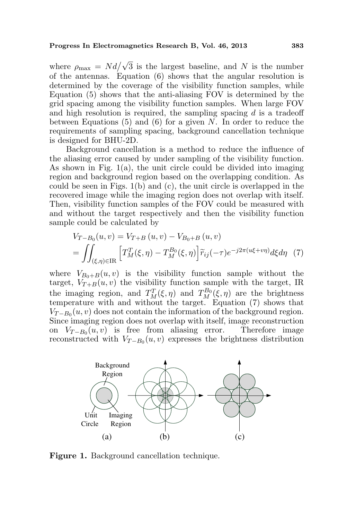where  $\rho_{\text{max}} = N d / \sqrt{3}$  is the largest baseline, and N is the number of the antennas. Equation (6) shows that the angular resolution is determined by the coverage of the visibility function samples, while Equation (5) shows that the anti-aliasing FOV is determined by the grid spacing among the visibility function samples. When large FOV and high resolution is required, the sampling spacing  $d$  is a tradeoff between Equations  $(5)$  and  $(6)$  for a given N. In order to reduce the requirements of sampling spacing, background cancellation technique is designed for BHU-2D.

Background cancellation is a method to reduce the influence of the aliasing error caused by under sampling of the visibility function. As shown in Fig.  $1(a)$ , the unit circle could be divided into imaging region and background region based on the overlapping condition. As could be seen in Figs. 1(b) and (c), the unit circle is overlapped in the recovered image while the imaging region does not overlap with itself. Then, visibility function samples of the FOV could be measured with and without the target respectively and then the visibility function sample could be calculated by

$$
V_{T-B_0}(u, v) = V_{T+B}(u, v) - V_{B_0+B}(u, v)
$$
  
= 
$$
\iint_{(\xi, \eta) \in \text{IR}} \left[ T_M^T(\xi, \eta) - T_M^{B_0}(\xi, \eta) \right] \widetilde{r}_{ij}(-\tau) e^{-j2\pi(u\xi + v\eta)} d\xi d\eta
$$
 (7)

where  $V_{B_0+B}(u, v)$  is the visibility function sample without the target,  $V_{T+B}(u, v)$  the visibility function sample with the target, IR the imaging region, and  $T_M^T(\xi, \eta)$  and  $T_M^{B_0}(\xi, \eta)$  are the brightness temperature with and without the target. Equation (7) shows that  $V_{T-B_0}(u, v)$  does not contain the information of the background region. Since imaging region does not overlap with itself, image reconstruction on  $V_{T-B_0}(u, v)$  is free from aliasing error. Therefore image reconstructed with  $V_{T-B_0}(u, v)$  expresses the brightness distribution



Figure 1. Background cancellation technique.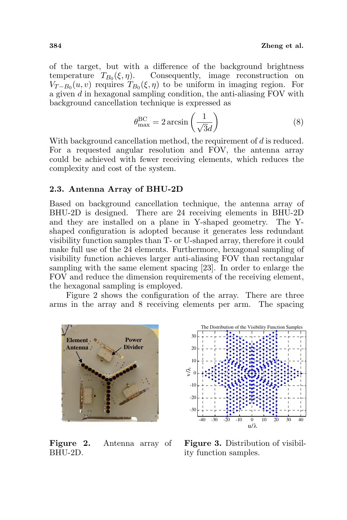of the target, but with a difference of the background brightness temperature  $T_{B_0}(\xi, \eta)$ . Consequently, image reconstruction on  $V_{T-B_0}(u, v)$  requires  $T_{B_0}(\xi, \eta)$  to be uniform in imaging region. For a given d in hexagonal sampling condition, the anti-aliasing FOV with background cancellation technique is expressed as

$$
\theta_{\text{max}}^{\text{BC}} = 2 \arcsin\left(\frac{1}{\sqrt{3}d}\right) \tag{8}
$$

With background cancellation method, the requirement of d is reduced. For a requested angular resolution and FOV, the antenna array could be achieved with fewer receiving elements, which reduces the complexity and cost of the system.

### 2.3. Antenna Array of BHU-2D

Based on background cancellation technique, the antenna array of BHU-2D is designed. There are 24 receiving elements in BHU-2D and they are installed on a plane in Y-shaped geometry. The Yshaped configuration is adopted because it generates less redundant visibility function samples than T- or U-shaped array, therefore it could make full use of the 24 elements. Furthermore, hexagonal sampling of visibility function achieves larger anti-aliasing FOV than rectangular sampling with the same element spacing [23]. In order to enlarge the FOV and reduce the dimension requirements of the receiving element, the hexagonal sampling is employed.

Figure 2 shows the configuration of the array. There are three arms in the array and 8 receiving elements per arm. The spacing



Figure 2. Antenna array of BHU-2D.



Figure 3. Distribution of visibility function samples.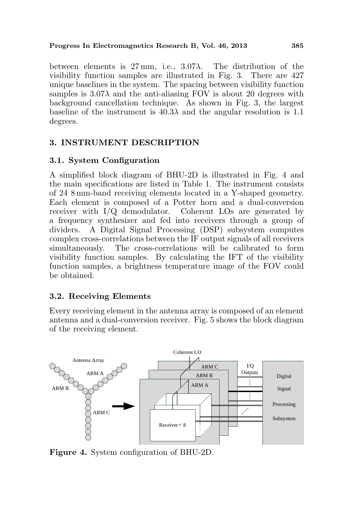### Progress In Electromagnetics Research B, Vol. 46, 2013 385

between elements is  $27 \text{ mm}$ , i.e.,  $3.07\lambda$ . The distribution of the visibility function samples are illustrated in Fig. 3. There are 427 unique baselines in the system. The spacing between visibility function samples is  $3.07\lambda$  and the anti-aliasing FOV is about 20 degrees with background cancellation technique. As shown in Fig. 3, the largest baseline of the instrument is  $40.3\lambda$  and the angular resolution is 1.1 degrees.

## 3. INSTRUMENT DESCRIPTION

## 3.1. System Configuration

A simplified block diagram of BHU-2D is illustrated in Fig. 4 and the main specifications are listed in Table 1. The instrument consists of 24 8 mm-band receiving elements located in a Y-shaped geometry. Each element is composed of a Potter horn and a dual-conversion receiver with I/Q demodulator. Coherent LOs are generated by a frequency synthesizer and fed into receivers through a group of dividers. A Digital Signal Processing (DSP) subsystem computes complex cross-correlations between the IF output signals of all receivers simultaneously. The cross-correlations will be calibrated to form visibility function samples. By calculating the IFT of the visibility function samples, a brightness temperature image of the FOV could be obtained.

## 3.2. Receiving Elements

Every receiving element in the antenna array is composed of an element antenna and a dual-conversion receiver. Fig. 5 shows the block diagram of the receiving element.



Figure 4. System configuration of BHU-2D.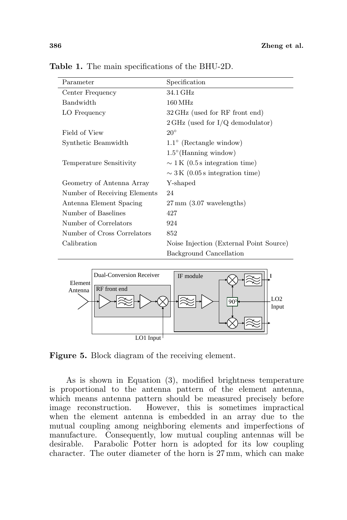| Parameter                    | Specification                              |
|------------------------------|--------------------------------------------|
| Center Frequency             | 34.1 GHz                                   |
| <b>Bandwidth</b>             | $160\,\mathrm{MHz}$                        |
| LO Frequency                 | 32 GHz (used for RF front end)             |
|                              | $2 \text{ GHz}$ (used for I/Q demodulator) |
| Field of View                | $20^{\circ}$                               |
| Synthetic Beamwidth          | $1.1^{\circ}$ (Rectangle window)           |
|                              | $1.5^{\circ}$ (Hanning window)             |
| Temperature Sensitivity      | $\sim$ 1 K (0.5 s integration time)        |
|                              | $\sim$ 3 K (0.05 s integration time)       |
| Geometry of Antenna Array    | Y-shaped                                   |
| Number of Receiving Elements | 24                                         |
| Antenna Element Spacing      | $27 \,\mathrm{mm}$ (3.07 wavelengths)      |
| Number of Baselines          | 427                                        |
| Number of Correlators        | 924                                        |
| Number of Cross Correlators  | 852                                        |
| Calibration                  | Noise Injection (External Point Source)    |
|                              | Background Cancellation                    |

Table 1. The main specifications of the BHU-2D.



Figure 5. Block diagram of the receiving element.

As is shown in Equation (3), modified brightness temperature is proportional to the antenna pattern of the element antenna, which means antenna pattern should be measured precisely before image reconstruction. However, this is sometimes impractical when the element antenna is embedded in an array due to the mutual coupling among neighboring elements and imperfections of manufacture. Consequently, low mutual coupling antennas will be desirable. Parabolic Potter horn is adopted for its low coupling character. The outer diameter of the horn is 27 mm, which can make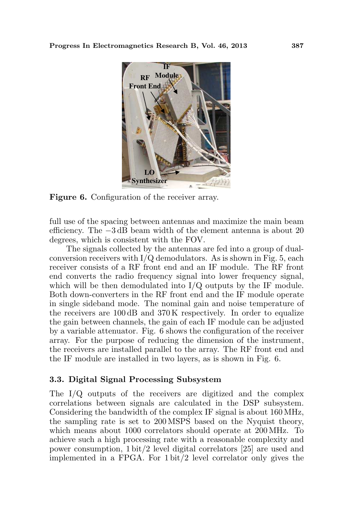

Figure 6. Configuration of the receiver array.

full use of the spacing between antennas and maximize the main beam efficiency. The −3 dB beam width of the element antenna is about 20 degrees, which is consistent with the FOV.

The signals collected by the antennas are fed into a group of dualconversion receivers with  $I/Q$  demodulators. As is shown in Fig. 5, each receiver consists of a RF front end and an IF module. The RF front end converts the radio frequency signal into lower frequency signal, which will be then demodulated into I/Q outputs by the IF module. Both down-converters in the RF front end and the IF module operate in single sideband mode. The nominal gain and noise temperature of the receivers are 100 dB and 370 K respectively. In order to equalize the gain between channels, the gain of each IF module can be adjusted by a variable attenuator. Fig. 6 shows the configuration of the receiver array. For the purpose of reducing the dimension of the instrument, the receivers are installed parallel to the array. The RF front end and the IF module are installed in two layers, as is shown in Fig. 6.

## 3.3. Digital Signal Processing Subsystem

The I/Q outputs of the receivers are digitized and the complex correlations between signals are calculated in the DSP subsystem. Considering the bandwidth of the complex IF signal is about 160 MHz, the sampling rate is set to 200 MSPS based on the Nyquist theory, which means about 1000 correlators should operate at 200 MHz. To achieve such a high processing rate with a reasonable complexity and power consumption, 1 bit/2 level digital correlators [25] are used and implemented in a FPGA. For 1 bit/2 level correlator only gives the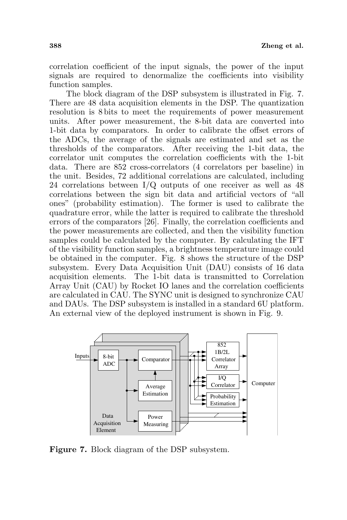correlation coefficient of the input signals, the power of the input signals are required to denormalize the coefficients into visibility function samples.

The block diagram of the DSP subsystem is illustrated in Fig. 7. There are 48 data acquisition elements in the DSP. The quantization resolution is 8 bits to meet the requirements of power measurement units. After power measurement, the 8-bit data are converted into 1-bit data by comparators. In order to calibrate the offset errors of the ADCs, the average of the signals are estimated and set as the thresholds of the comparators. After receiving the 1-bit data, the correlator unit computes the correlation coefficients with the 1-bit data. There are 852 cross-correlators (4 correlators per baseline) in the unit. Besides, 72 additional correlations are calculated, including 24 correlations between I/Q outputs of one receiver as well as 48 correlations between the sign bit data and artificial vectors of "all ones" (probability estimation). The former is used to calibrate the quadrature error, while the latter is required to calibrate the threshold errors of the comparators [26]. Finally, the correlation coefficients and the power measurements are collected, and then the visibility function samples could be calculated by the computer. By calculating the IFT of the visibility function samples, a brightness temperature image could be obtained in the computer. Fig. 8 shows the structure of the DSP subsystem. Every Data Acquisition Unit (DAU) consists of 16 data acquisition elements. The 1-bit data is transmitted to Correlation Array Unit (CAU) by Rocket IO lanes and the correlation coefficients are calculated in CAU. The SYNC unit is designed to synchronize CAU and DAUs. The DSP subsystem is installed in a standard 6U platform. An external view of the deployed instrument is shown in Fig. 9.



Figure 7. Block diagram of the DSP subsystem.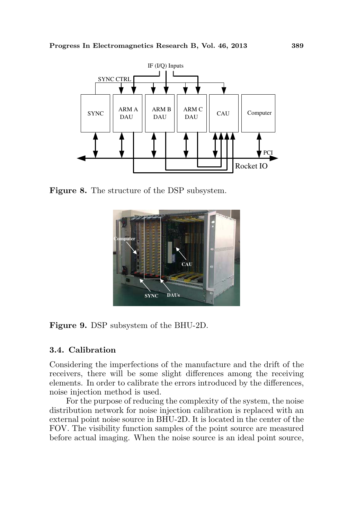

Figure 8. The structure of the DSP subsystem.



Figure 9. DSP subsystem of the BHU-2D.

## 3.4. Calibration

Considering the imperfections of the manufacture and the drift of the receivers, there will be some slight differences among the receiving elements. In order to calibrate the errors introduced by the differences, noise injection method is used.

For the purpose of reducing the complexity of the system, the noise distribution network for noise injection calibration is replaced with an external point noise source in BHU-2D. It is located in the center of the FOV. The visibility function samples of the point source are measured before actual imaging. When the noise source is an ideal point source,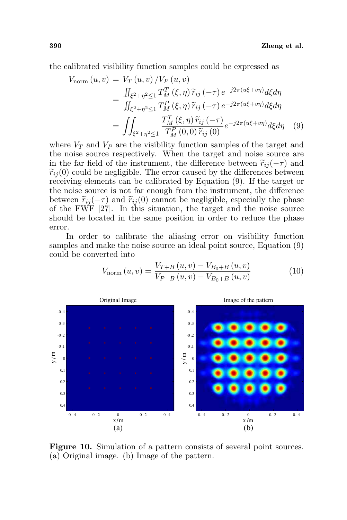the calibrated visibility function samples could be expressed as

$$
V_{\text{norm}}(u, v) = V_T(u, v) / V_P(u, v)
$$
  
= 
$$
\frac{\iint_{\xi^2 + \eta^2 \le 1} T_M^T(\xi, \eta) \widetilde{r}_{ij}(-\tau) e^{-j2\pi(u\xi + v\eta)} d\xi d\eta}{\iint_{\xi^2 + \eta^2 \le 1} T_M^P(\xi, \eta) \widetilde{r}_{ij}(-\tau) e^{-j2\pi(u\xi + v\eta)} d\xi d\eta}
$$
  
= 
$$
\iint_{\xi^2 + \eta^2 \le 1} \frac{T_M^T(\xi, \eta) \widetilde{r}_{ij}(-\tau)}{T_M^P(0, 0) \widetilde{r}_{ij}(0)} e^{-j2\pi(u\xi + v\eta)} d\xi d\eta
$$
 (9)

where  $V_T$  and  $V_P$  are the visibility function samples of the target and the noise source respectively. When the target and noise source are in the far field of the instrument, the difference between  $\tilde{r}_{ij}(-\tau)$  and  $\widetilde{r}_{ij}(0)$  could be negligible. The error caused by the differences between receiving elements can be calibrated by Equation (9). If the target or the noise source is not far enough from the instrument, the difference between  $\tilde{r}_{ii}(-\tau)$  and  $\tilde{r}_{ii}(0)$  cannot be negligible, especially the phase of the FWF [27]. In this situation, the target and the noise source should be located in the same position in order to reduce the phase error.

In order to calibrate the aliasing error on visibility function samples and make the noise source an ideal point source, Equation (9) could be converted into

$$
V_{\text{norm}}\left(u,v\right) = \frac{V_{T+B}\left(u,v\right) - V_{B_0+B}\left(u,v\right)}{V_{P+B}\left(u,v\right) - V_{B_0+B}\left(u,v\right)}\tag{10}
$$



Figure 10. Simulation of a pattern consists of several point sources. (a) Original image. (b) Image of the pattern.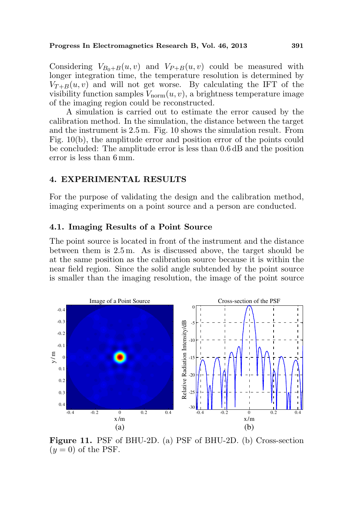#### Progress In Electromagnetics Research B, Vol. 46, 2013 391

Considering  $V_{B_0+B}(u, v)$  and  $V_{P+B}(u, v)$  could be measured with longer integration time, the temperature resolution is determined by  $V_{T+B}(u, v)$  and will not get worse. By calculating the IFT of the visibility function samples  $V_{\text{norm}}(u, v)$ , a brightness temperature image of the imaging region could be reconstructed.

A simulation is carried out to estimate the error caused by the calibration method. In the simulation, the distance between the target and the instrument is 2.5 m. Fig. 10 shows the simulation result. From Fig. 10(b), the amplitude error and position error of the points could be concluded: The amplitude error is less than 0.6 dB and the position error is less than 6 mm.

### 4. EXPERIMENTAL RESULTS

For the purpose of validating the design and the calibration method, imaging experiments on a point source and a person are conducted.

#### 4.1. Imaging Results of a Point Source

The point source is located in front of the instrument and the distance between them is 2.5 m. As is discussed above, the target should be at the same position as the calibration source because it is within the near field region. Since the solid angle subtended by the point source is smaller than the imaging resolution, the image of the point source



Figure 11. PSF of BHU-2D. (a) PSF of BHU-2D. (b) Cross-section  $(y = 0)$  of the PSF.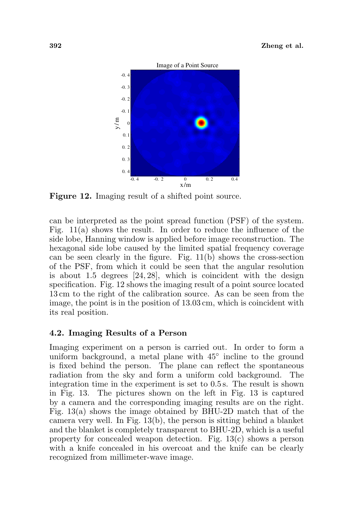#### 392 Zheng et al.



Figure 12. Imaging result of a shifted point source.

can be interpreted as the point spread function (PSF) of the system. Fig. 11(a) shows the result. In order to reduce the influence of the side lobe, Hanning window is applied before image reconstruction. The hexagonal side lobe caused by the limited spatial frequency coverage can be seen clearly in the figure. Fig. 11(b) shows the cross-section of the PSF, from which it could be seen that the angular resolution is about 1.5 degrees [24, 28], which is coincident with the design specification. Fig. 12 shows the imaging result of a point source located 13 cm to the right of the calibration source. As can be seen from the image, the point is in the position of 13.03 cm, which is coincident with its real position.

### 4.2. Imaging Results of a Person

Imaging experiment on a person is carried out. In order to form a uniform background, a metal plane with  $45^{\circ}$  incline to the ground is fixed behind the person. The plane can reflect the spontaneous radiation from the sky and form a uniform cold background. The integration time in the experiment is set to 0.5 s. The result is shown in Fig. 13. The pictures shown on the left in Fig. 13 is captured by a camera and the corresponding imaging results are on the right. Fig. 13(a) shows the image obtained by BHU-2D match that of the camera very well. In Fig. 13(b), the person is sitting behind a blanket and the blanket is completely transparent to BHU-2D, which is a useful property for concealed weapon detection. Fig. 13(c) shows a person with a knife concealed in his overcoat and the knife can be clearly recognized from millimeter-wave image.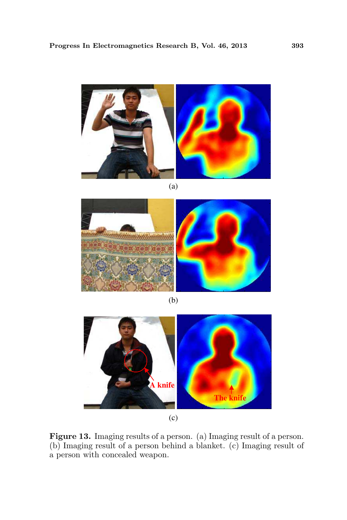

(a)



(b)



Figure 13. Imaging results of a person. (a) Imaging result of a person. (b) Imaging result of a person behind a blanket. (c) Imaging result of a person with concealed weapon.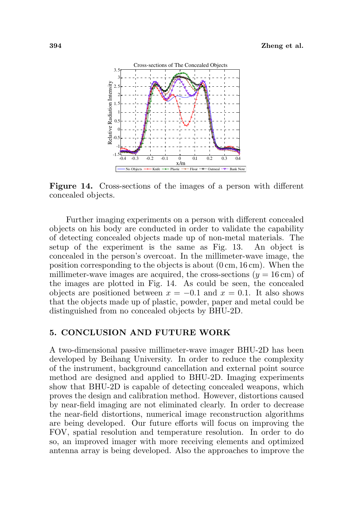

Figure 14. Cross-sections of the images of a person with different concealed objects.

Further imaging experiments on a person with different concealed objects on his body are conducted in order to validate the capability of detecting concealed objects made up of non-metal materials. The setup of the experiment is the same as Fig. 13. An object is concealed in the person's overcoat. In the millimeter-wave image, the position corresponding to the objects is about (0 cm, 16 cm). When the millimeter-wave images are acquired, the cross-sections  $(y = 16 \text{ cm})$  of the images are plotted in Fig. 14. As could be seen, the concealed objects are positioned between  $x = -0.1$  and  $x = 0.1$ . It also shows that the objects made up of plastic, powder, paper and metal could be distinguished from no concealed objects by BHU-2D.

### 5. CONCLUSION AND FUTURE WORK

A two-dimensional passive millimeter-wave imager BHU-2D has been developed by Beihang University. In order to reduce the complexity of the instrument, background cancellation and external point source method are designed and applied to BHU-2D. Imaging experiments show that BHU-2D is capable of detecting concealed weapons, which proves the design and calibration method. However, distortions caused by near-field imaging are not eliminated clearly. In order to decrease the near-field distortions, numerical image reconstruction algorithms are being developed. Our future efforts will focus on improving the FOV, spatial resolution and temperature resolution. In order to do so, an improved imager with more receiving elements and optimized antenna array is being developed. Also the approaches to improve the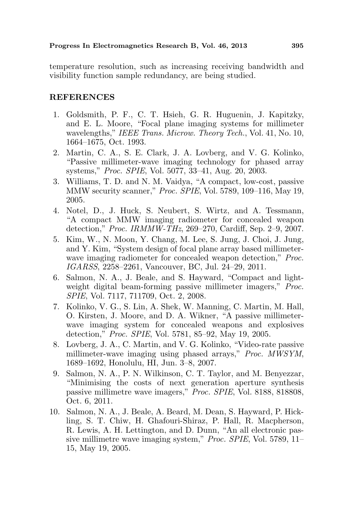temperature resolution, such as increasing receiving bandwidth and visibility function sample redundancy, are being studied.

### REFERENCES

- 1. Goldsmith, P. F., C. T. Hsieh, G. R. Huguenin, J. Kapitzky, and E. L. Moore, "Focal plane imaging systems for millimeter wavelengths," IEEE Trans. Microw. Theory Tech., Vol. 41, No. 10, 1664–1675, Oct. 1993.
- 2. Martin, C. A., S. E. Clark, J. A. Lovberg, and V. G. Kolinko, "Passive millimeter-wave imaging technology for phased array systems," Proc. SPIE, Vol. 5077, 33–41, Aug. 20, 2003.
- 3. Williams, T. D. and N. M. Vaidya, "A compact, low-cost, passive MMW security scanner," Proc. SPIE, Vol. 5789, 109–116, May 19, 2005.
- 4. Notel, D., J. Huck, S. Neubert, S. Wirtz, and A. Tessmann, "A compact MMW imaging radiometer for concealed weapon detection," Proc. IRMMW-THz, 269–270, Cardiff, Sep. 2–9, 2007.
- 5. Kim, W., N. Moon, Y. Chang, M. Lee, S. Jung, J. Choi, J. Jung, and Y. Kim, "System design of focal plane array based millimeterwave imaging radiometer for concealed weapon detection," *Proc.* IGARSS, 2258–2261, Vancouver, BC, Jul. 24–29, 2011.
- 6. Salmon, N. A., J. Beale, and S. Hayward, "Compact and lightweight digital beam-forming passive millimeter imagers," *Proc.* SPIE, Vol. 7117, 711709, Oct. 2, 2008.
- 7. Kolinko, V. G., S. Lin, A. Shek, W. Manning, C. Martin, M. Hall, O. Kirsten, J. Moore, and D. A. Wikner, "A passive millimeterwave imaging system for concealed weapons and explosives detection," Proc. SPIE, Vol. 5781, 85–92, May 19, 2005.
- 8. Lovberg, J. A., C. Martin, and V. G. Kolinko, "Video-rate passive millimeter-wave imaging using phased arrays," Proc. MWSYM, 1689–1692, Honolulu, HI, Jun. 3–8, 2007.
- 9. Salmon, N. A., P. N. Wilkinson, C. T. Taylor, and M. Benyezzar, "Minimising the costs of next generation aperture synthesis passive millimetre wave imagers," Proc. SPIE, Vol. 8188, 818808, Oct. 6, 2011.
- 10. Salmon, N. A., J. Beale, A. Beard, M. Dean, S. Hayward, P. Hickling, S. T. Chiw, H. Ghafouri-Shiraz, P. Hall, R. Macpherson, R. Lewis, A. H. Lettington, and D. Dunn, "An all electronic passive millimetre wave imaging system," Proc. SPIE, Vol. 5789, 11– 15, May 19, 2005.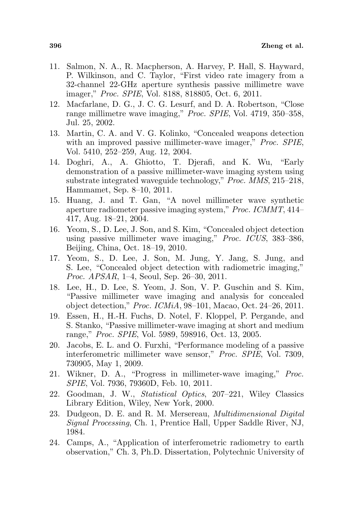- 11. Salmon, N. A., R. Macpherson, A. Harvey, P. Hall, S. Hayward, P. Wilkinson, and C. Taylor, "First video rate imagery from a 32-channel 22-GHz aperture synthesis passive millimetre wave imager," Proc. SPIE, Vol. 8188, 818805, Oct. 6, 2011.
- 12. Macfarlane, D. G., J. C. G. Lesurf, and D. A. Robertson, "Close range millimetre wave imaging," Proc. SPIE, Vol. 4719, 350–358, Jul. 25, 2002.
- 13. Martin, C. A. and V. G. Kolinko, "Concealed weapons detection with an improved passive millimeter-wave imager," *Proc. SPIE*, Vol. 5410, 252–259, Aug. 12, 2004.
- 14. Doghri, A., A. Ghiotto, T. Djerafi, and K. Wu, "Early demonstration of a passive millimeter-wave imaging system using substrate integrated waveguide technology," Proc. MMS, 215–218, Hammamet, Sep. 8–10, 2011.
- 15. Huang, J. and T. Gan, "A novel millimeter wave synthetic aperture radiometer passive imaging system," Proc. ICMMT, 414– 417, Aug. 18–21, 2004.
- 16. Yeom, S., D. Lee, J. Son, and S. Kim, "Concealed object detection using passive millimeter wave imaging," Proc. ICUS, 383–386, Beijing, China, Oct. 18–19, 2010.
- 17. Yeom, S., D. Lee, J. Son, M. Jung, Y. Jang, S. Jung, and S. Lee, "Concealed object detection with radiometric imaging," Proc. APSAR, 1–4, Seoul, Sep. 26–30, 2011.
- 18. Lee, H., D. Lee, S. Yeom, J. Son, V. P. Guschin and S. Kim, "Passive millimeter wave imaging and analysis for concealed object detection," Proc. ICMiA, 98–101, Macao, Oct. 24–26, 2011.
- 19. Essen, H., H.-H. Fuchs, D. Notel, F. Kloppel, P. Pergande, and S. Stanko, "Passive millimeter-wave imaging at short and medium range," Proc. SPIE, Vol. 5989, 598916, Oct. 13, 2005.
- 20. Jacobs, E. L. and O. Furxhi, "Performance modeling of a passive interferometric millimeter wave sensor," Proc. SPIE, Vol. 7309, 730905, May 1, 2009.
- 21. Wikner, D. A., "Progress in millimeter-wave imaging," Proc. SPIE, Vol. 7936, 79360D, Feb. 10, 2011.
- 22. Goodman, J. W., Statistical Optics, 207–221, Wiley Classics Library Edition, Wiley, New York, 2000.
- 23. Dudgeon, D. E. and R. M. Mersereau, Multidimensional Digital Signal Processing, Ch. 1, Prentice Hall, Upper Saddle River, NJ, 1984.
- 24. Camps, A., "Application of interferometric radiometry to earth observation," Ch. 3, Ph.D. Dissertation, Polytechnic University of